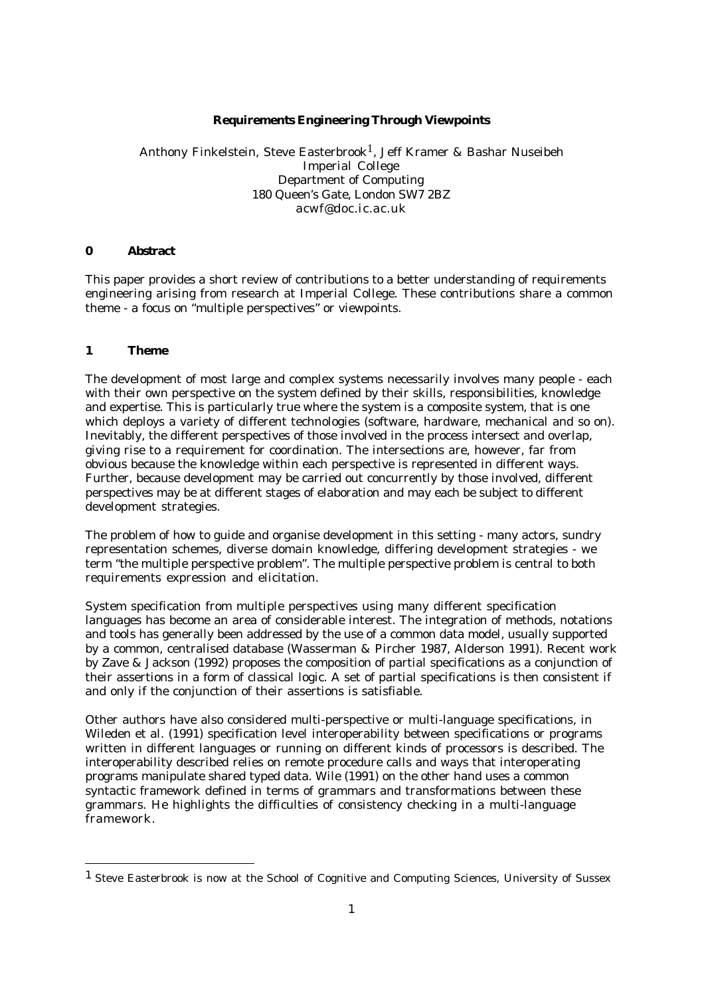# **Requirements Engineering Through Viewpoints**

Anthony Finkelstein, Steve Easterbrook<sup>1</sup>, Jeff Kramer & Bashar Nuseibeh Imperial College Department of Computing 180 Queen's Gate, London SW7 2BZ acwf@doc.ic.ac.uk

# **0 Abstract**

This paper provides a short review of contributions to a better understanding of requirements engineering arising from research at Imperial College. These contributions share a common theme - a focus on "multiple perspectives" or viewpoints.

## **1 Theme**

The development of most large and complex systems necessarily involves many people - each with their own perspective on the system defined by their skills, responsibilities, knowledge and expertise. This is particularly true where the system is a composite system, that is one which deploys a variety of different technologies (software, hardware, mechanical and so on). Inevitably, the different perspectives of those involved in the process intersect and overlap, giving rise to a requirement for coordination. The intersections are, however, far from obvious because the knowledge within each perspective is represented in different ways. Further, because development may be carried out concurrently by those involved, different perspectives may be at different stages of elaboration and may each be subject to different development strategies.

The problem of how to guide and organise development in this setting - many actors, sundry representation schemes, diverse domain knowledge, differing development strategies - we term "the multiple perspective problem". The multiple perspective problem is central to both requirements expression and elicitation.

System specification from multiple perspectives using many different specification languages has become an area of considerable interest. The integration of methods, notations and tools has generally been addressed by the use of a common data model, usually supported by a common, centralised database (Wasserman & Pircher 1987, Alderson 1991). Recent work by Zave & Jackson (1992) proposes the composition of partial specifications as a conjunction of their assertions in a form of classical logic. A set of partial specifications is then consistent if and only if the conjunction of their assertions is satisfiable.

Other authors have also considered multi-perspective or multi-language specifications, in Wileden et al. (1991) specification level interoperability between specifications or programs written in different languages or running on different kinds of processors is described. The interoperability described relies on remote procedure calls and ways that interoperating programs manipulate shared typed data. Wile (1991) on the other hand uses a common syntactic framework defined in terms of grammars and transformations between these grammars. He highlights the difficulties of consistency checking in a multi-language framework.

<sup>1</sup> Steve Easterbrook is now at the School of Cognitive and Computing Sciences, University of Sussex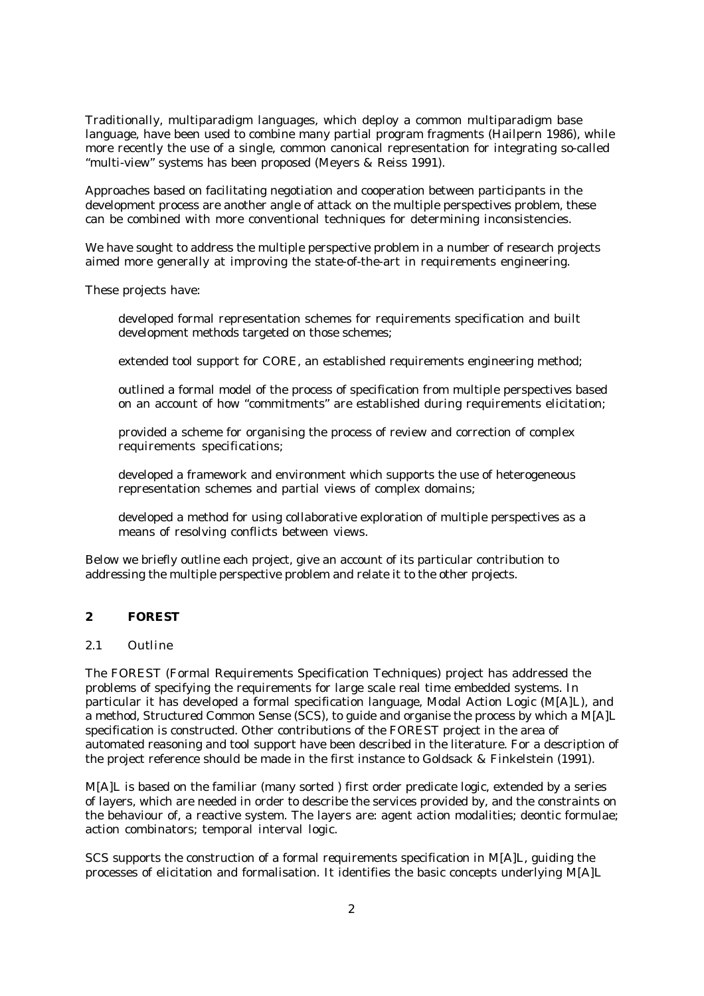Traditionally, multiparadigm languages, which deploy a common multiparadigm base language, have been used to combine many partial program fragments (Hailpern 1986), while more recently the use of a single, common canonical representation for integrating so-called "multi-view" systems has been proposed (Meyers & Reiss 1991).

Approaches based on facilitating negotiation and cooperation between participants in the development process are another angle of attack on the multiple perspectives problem, these can be combined with more conventional techniques for determining inconsistencies.

We have sought to address the multiple perspective problem in a number of research projects aimed more generally at improving the state-of-the-art in requirements engineering.

These projects have:

developed formal representation schemes for requirements specification and built development methods targeted on those schemes;

extended tool support for CORE, an established requirements engineering method;

outlined a formal model of the process of specification from multiple perspectives based on an account of how "commitments" are established during requirements elicitation;

provided a scheme for organising the process of review and correction of complex requirements specifications;

developed a framework and environment which supports the use of heterogeneous representation schemes and partial views of complex domains;

developed a method for using collaborative exploration of multiple perspectives as a means of resolving conflicts between views.

Below we briefly outline each project, give an account of its particular contribution to addressing the multiple perspective problem and relate it to the other projects.

# **2 FOREST**

#### *2.1 Outline*

The FOREST (Formal Requirements Specification Techniques) project has addressed the problems of specifying the requirements for large scale real time embedded systems. In particular it has developed a formal specification language, Modal Action Logic (M[A]L), and a method, Structured Common Sense (SCS), to guide and organise the process by which a M[A]L specification is constructed. Other contributions of the FOREST project in the area of automated reasoning and tool support have been described in the literature. For a description of the project reference should be made in the first instance to Goldsack & Finkelstein (1991).

M[A]L is based on the familiar (many sorted ) first order predicate logic, extended by a series of layers, which are needed in order to describe the services provided by, and the constraints on the behaviour of, a reactive system. The layers are: agent action modalities; deontic formulae; action combinators; temporal interval logic.

SCS supports the construction of a formal requirements specification in M[A]L, guiding the processes of elicitation and formalisation. It identifies the basic concepts underlying M[A]L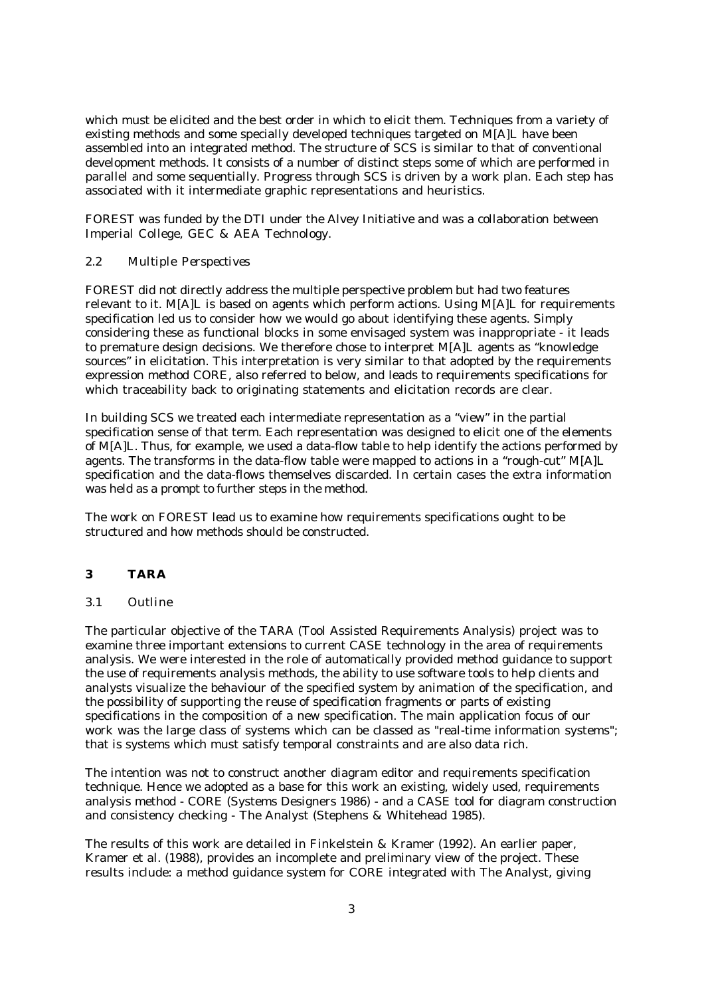which must be elicited and the best order in which to elicit them. Techniques from a variety of existing methods and some specially developed techniques targeted on M[A]L have been assembled into an integrated method. The structure of SCS is similar to that of conventional development methods. It consists of a number of distinct steps some of which are performed in parallel and some sequentially. Progress through SCS is driven by a work plan. Each step has associated with it intermediate graphic representations and heuristics.

FOREST was funded by the DTI under the Alvey Initiative and was a collaboration between Imperial College, GEC & AEA Technology.

## *2.2 Multiple Perspectives*

FOREST did not directly address the multiple perspective problem but had two features relevant to it. M[A]L is based on agents which perform actions. Using M[A]L for requirements specification led us to consider how we would go about identifying these agents. Simply considering these as functional blocks in some envisaged system was inappropriate - it leads to premature design decisions. We therefore chose to interpret M[A]L agents as "knowledge sources" in elicitation. This interpretation is very similar to that adopted by the requirements expression method CORE, also referred to below, and leads to requirements specifications for which traceability back to originating statements and elicitation records are clear.

In building SCS we treated each intermediate representation as a "view" in the partial specification sense of that term. Each representation was designed to elicit one of the elements of M[A]L. Thus, for example, we used a data-flow table to help identify the actions performed by agents. The transforms in the data-flow table were mapped to actions in a "rough-cut" M[A]L specification and the data-flows themselves discarded. In certain cases the extra information was held as a prompt to further steps in the method.

The work on FOREST lead us to examine how requirements specifications ought to be structured and how methods should be constructed.

## **3 TARA**

# *3.1 Outline*

The particular objective of the TARA (Tool Assisted Requirements Analysis) project was to examine three important extensions to current CASE technology in the area of requirements analysis. We were interested in the role of automatically provided method guidance to support the use of requirements analysis methods, the ability to use software tools to help clients and analysts visualize the behaviour of the specified system by animation of the specification, and the possibility of supporting the reuse of specification fragments or parts of existing specifications in the composition of a new specification. The main application focus of our work was the large class of systems which can be classed as "real-time information systems"; that is systems which must satisfy temporal constraints and are also data rich.

The intention was not to construct another diagram editor and requirements specification technique. Hence we adopted as a base for this work an existing, widely used, requirements analysis method - CORE (Systems Designers 1986) - and a CASE tool for diagram construction and consistency checking - The Analyst (Stephens & Whitehead 1985).

The results of this work are detailed in Finkelstein & Kramer (1992). An earlier paper, Kramer et al. (1988), provides an incomplete and preliminary view of the project. These results include: a method guidance system for CORE integrated with The Analyst, giving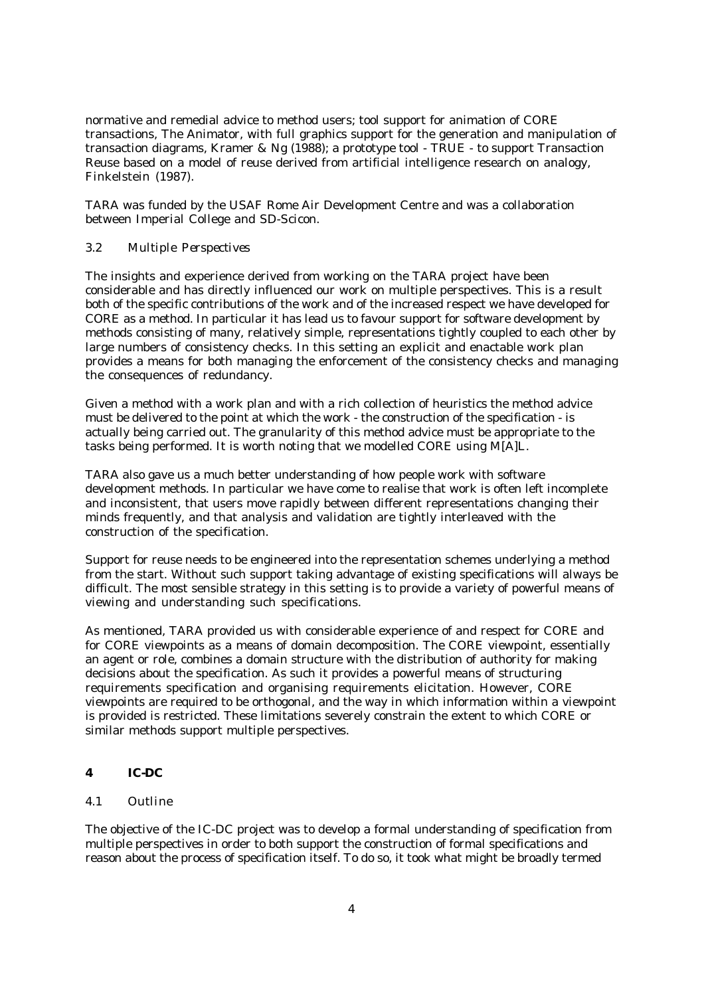normative and remedial advice to method users; tool support for animation of CORE transactions, The Animator, with full graphics support for the generation and manipulation of transaction diagrams, Kramer & Ng (1988); a prototype tool - TRUE - to support Transaction Reuse based on a model of reuse derived from artificial intelligence research on analogy, Finkelstein (1987).

TARA was funded by the USAF Rome Air Development Centre and was a collaboration between Imperial College and SD-Scicon.

## *3.2 Multiple Perspectives*

The insights and experience derived from working on the TARA project have been considerable and has directly influenced our work on multiple perspectives. This is a result both of the specific contributions of the work and of the increased respect we have developed for CORE as a method. In particular it has lead us to favour support for software development by methods consisting of many, relatively simple, representations tightly coupled to each other by large numbers of consistency checks. In this setting an explicit and enactable work plan provides a means for both managing the enforcement of the consistency checks and managing the consequences of redundancy.

Given a method with a work plan and with a rich collection of heuristics the method advice must be delivered to the point at which the work - the construction of the specification - is actually being carried out. The granularity of this method advice must be appropriate to the tasks being performed. It is worth noting that we modelled CORE using M[A]L.

TARA also gave us a much better understanding of how people work with software development methods. In particular we have come to realise that work is often left incomplete and inconsistent, that users move rapidly between different representations changing their minds frequently, and that analysis and validation are tightly interleaved with the construction of the specification.

Support for reuse needs to be engineered into the representation schemes underlying a method from the start. Without such support taking advantage of existing specifications will always be difficult. The most sensible strategy in this setting is to provide a variety of powerful means of viewing and understanding such specifications.

As mentioned, TARA provided us with considerable experience of and respect for CORE and for CORE viewpoints as a means of domain decomposition. The CORE viewpoint, essentially an agent or role, combines a domain structure with the distribution of authority for making decisions about the specification. As such it provides a powerful means of structuring requirements specification and organising requirements elicitation. However, CORE viewpoints are required to be orthogonal, and the way in which information within a viewpoint is provided is restricted. These limitations severely constrain the extent to which CORE or similar methods support multiple perspectives.

#### **4 IC-DC**

## *4.1 Outline*

The objective of the IC-DC project was to develop a formal understanding of specification from multiple perspectives in order to both support the construction of formal specifications and reason about the process of specification itself. To do so, it took what might be broadly termed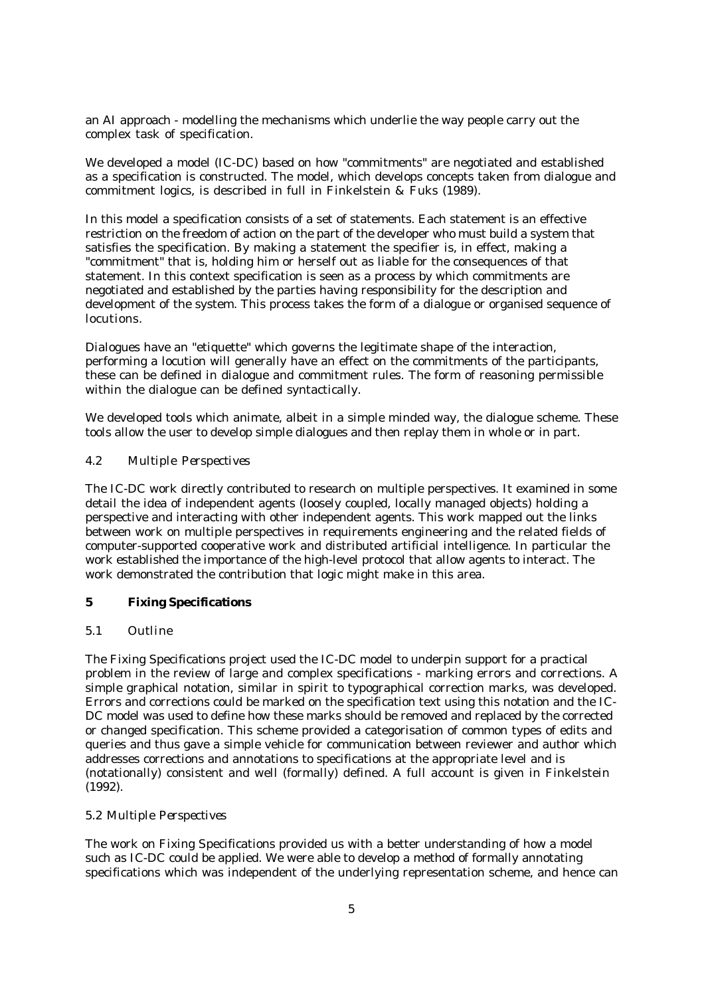an AI approach - modelling the mechanisms which underlie the way people carry out the complex task of specification.

We developed a model (IC-DC) based on how "commitments" are negotiated and established as a specification is constructed. The model, which develops concepts taken from dialogue and commitment logics, is described in full in Finkelstein & Fuks (1989).

In this model a specification consists of a set of statements. Each statement is an effective restriction on the freedom of action on the part of the developer who must build a system that satisfies the specification. By making a statement the specifier is, in effect, making a "commitment" that is, holding him or herself out as liable for the consequences of that statement. In this context specification is seen as a process by which commitments are negotiated and established by the parties having responsibility for the description and development of the system. This process takes the form of a dialogue or organised sequence of locutions.

Dialogues have an "etiquette" which governs the legitimate shape of the interaction, performing a locution will generally have an effect on the commitments of the participants, these can be defined in dialogue and commitment rules. The form of reasoning permissible within the dialogue can be defined syntactically.

We developed tools which animate, albeit in a simple minded way, the dialogue scheme. These tools allow the user to develop simple dialogues and then replay them in whole or in part.

## *4.2 Multiple Perspectives*

The IC-DC work directly contributed to research on multiple perspectives. It examined in some detail the idea of independent agents (loosely coupled, locally managed objects) holding a perspective and interacting with other independent agents. This work mapped out the links between work on multiple perspectives in requirements engineering and the related fields of computer-supported cooperative work and distributed artificial intelligence. In particular the work established the importance of the high-level protocol that allow agents to interact. The work demonstrated the contribution that logic might make in this area.

# **5 Fixing Specifications**

#### *5.1 Outline*

The Fixing Specifications project used the IC-DC model to underpin support for a practical problem in the review of large and complex specifications - marking errors and corrections. A simple graphical notation, similar in spirit to typographical correction marks, was developed. Errors and corrections could be marked on the specification text using this notation and the IC-DC model was used to define how these marks should be removed and replaced by the corrected or changed specification. This scheme provided a categorisation of common types of edits and queries and thus gave a simple vehicle for communication between reviewer and author which addresses corrections and annotations to specifications at the appropriate level and is (notationally) consistent and well (formally) defined. A full account is given in Finkelstein (1992).

#### *5.2 Multiple Perspectives*

The work on Fixing Specifications provided us with a better understanding of how a model such as IC-DC could be applied. We were able to develop a method of formally annotating specifications which was independent of the underlying representation scheme, and hence can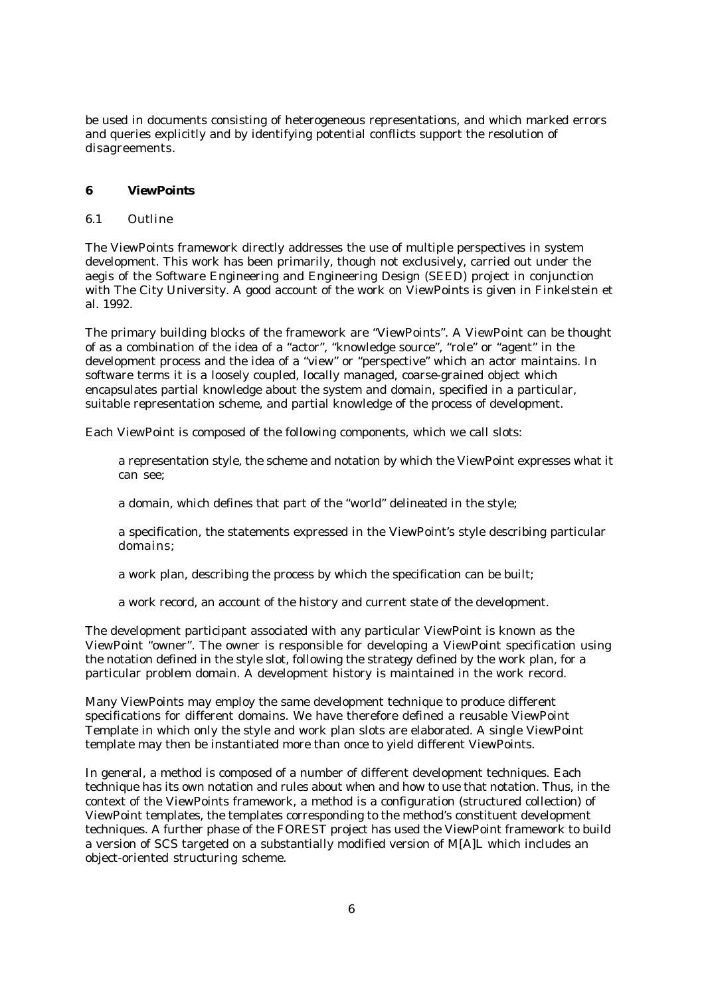be used in documents consisting of heterogeneous representations, and which marked errors and queries explicitly and by identifying potential conflicts support the resolution of disagreements.

# **6 ViewPoints**

## *6.1 Outline*

The ViewPoints framework directly addresses the use of multiple perspectives in system development. This work has been primarily, though not exclusively, carried out under the aegis of the Software Engineering and Engineering Design (SEED) project in conjunction with The City University. A good account of the work on ViewPoints is given in Finkelstein et al. 1992.

The primary building blocks of the framework are "ViewPoints". A ViewPoint can be thought of as a combination of the idea of a "actor", "knowledge source", "role" or "agent" in the development process and the idea of a "view" or "perspective" which an actor maintains. In software terms it is a loosely coupled, locally managed, coarse-grained object which encapsulates partial knowledge about the system and domain, specified in a particular, suitable representation scheme, and partial knowledge of the process of development.

Each ViewPoint is composed of the following components, which we call slots:

a representation style, the scheme and notation by which the ViewPoint expresses what it can see;

a domain, which defines that part of the "world" delineated in the style;

a specification, the statements expressed in the ViewPoint's style describing particular domains;

a work plan, describing the process by which the specification can be built;

a work record, an account of the history and current state of the development.

The development participant associated with any particular ViewPoint is known as the ViewPoint "owner". The owner is responsible for developing a ViewPoint specification using the notation defined in the style slot, following the strategy defined by the work plan, for a particular problem domain. A development history is maintained in the work record.

Many ViewPoints may employ the same development technique to produce different specifications for different domains. We have therefore defined a reusable ViewPoint Template in which only the style and work plan slots are elaborated. A single ViewPoint template may then be instantiated more than once to yield different ViewPoints.

In general, a method is composed of a number of different development techniques. Each technique has its own notation and rules about when and how to use that notation. Thus, in the context of the ViewPoints framework, a method is a configuration (structured collection) of ViewPoint templates, the templates corresponding to the method's constituent development techniques. A further phase of the FOREST project has used the ViewPoint framework to build a version of SCS targeted on a substantially modified version of M[A]L which includes an object-oriented structuring scheme.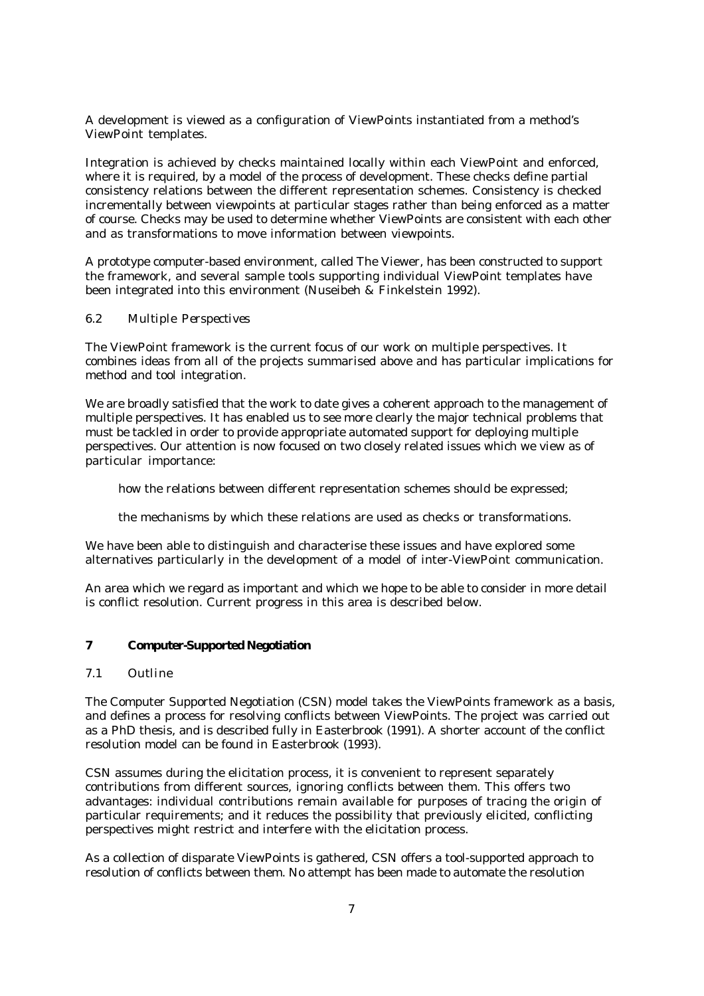A development is viewed as a configuration of ViewPoints instantiated from a method's ViewPoint templates.

Integration is achieved by checks maintained locally within each ViewPoint and enforced, where it is required, by a model of the process of development. These checks define partial consistency relations between the different representation schemes. Consistency is checked incrementally between viewpoints at particular stages rather than being enforced as a matter of course. Checks may be used to determine whether ViewPoints are consistent with each other and as transformations to move information between viewpoints.

A prototype computer-based environment, called The Viewer, has been constructed to support the framework, and several sample tools supporting individual ViewPoint templates have been integrated into this environment (Nuseibeh & Finkelstein 1992).

## *6.2 Multiple Perspectives*

The ViewPoint framework is the current focus of our work on multiple perspectives. It combines ideas from all of the projects summarised above and has particular implications for method and tool integration.

We are broadly satisfied that the work to date gives a coherent approach to the management of multiple perspectives. It has enabled us to see more clearly the major technical problems that must be tackled in order to provide appropriate automated support for deploying multiple perspectives. Our attention is now focused on two closely related issues which we view as of particular importance:

how the relations between different representation schemes should be expressed;

the mechanisms by which these relations are used as checks or transformations.

We have been able to distinguish and characterise these issues and have explored some alternatives particularly in the development of a model of inter-ViewPoint communication.

An area which we regard as important and which we hope to be able to consider in more detail is conflict resolution. Current progress in this area is described below.

## **7 Computer-Supported Negotiation**

#### *7.1 Outline*

The Computer Supported Negotiation (CSN) model takes the ViewPoints framework as a basis, and defines a process for resolving conflicts between ViewPoints. The project was carried out as a PhD thesis, and is described fully in Easterbrook (1991). A shorter account of the conflict resolution model can be found in Easterbrook (1993).

CSN assumes during the elicitation process, it is convenient to represent separately contributions from different sources, ignoring conflicts between them. This offers two advantages: individual contributions remain available for purposes of tracing the origin of particular requirements; and it reduces the possibility that previously elicited, conflicting perspectives might restrict and interfere with the elicitation process.

As a collection of disparate ViewPoints is gathered, CSN offers a tool-supported approach to resolution of conflicts between them. No attempt has been made to automate the resolution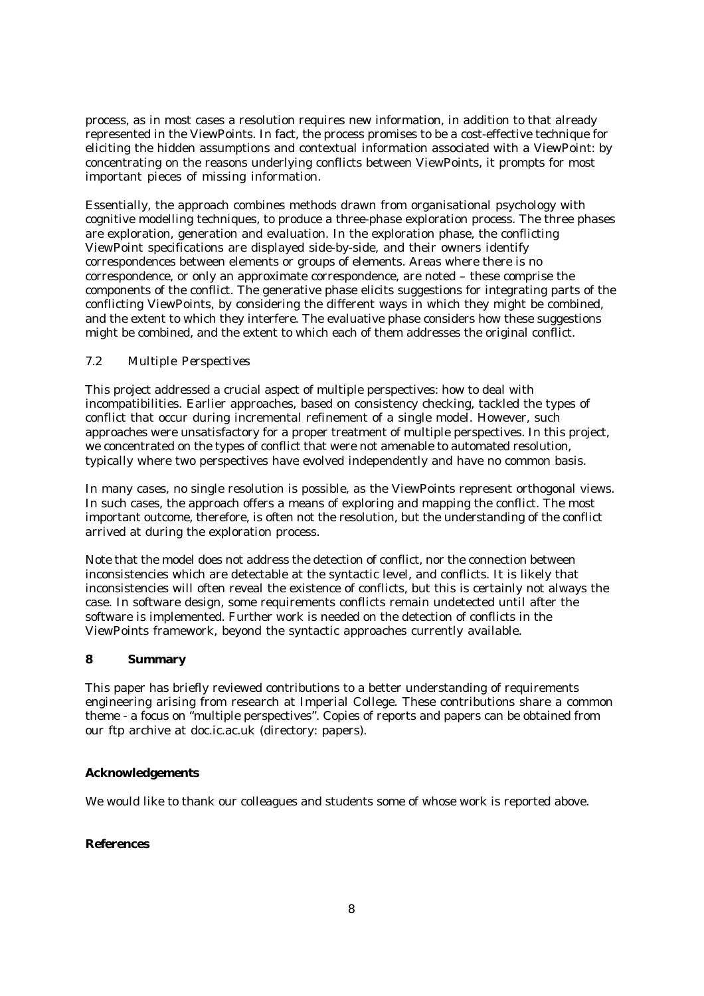process, as in most cases a resolution requires new information, in addition to that already represented in the ViewPoints. In fact, the process promises to be a cost-effective technique for eliciting the hidden assumptions and contextual information associated with a ViewPoint: by concentrating on the reasons underlying conflicts between ViewPoints, it prompts for most important pieces of missing information.

Essentially, the approach combines methods drawn from organisational psychology with cognitive modelling techniques, to produce a three-phase exploration process. The three phases are exploration, generation and evaluation. In the exploration phase, the conflicting ViewPoint specifications are displayed side-by-side, and their owners identify correspondences between elements or groups of elements. Areas where there is no correspondence, or only an approximate correspondence, are noted – these comprise the components of the conflict. The generative phase elicits suggestions for integrating parts of the conflicting ViewPoints, by considering the different ways in which they might be combined, and the extent to which they interfere. The evaluative phase considers how these suggestions might be combined, and the extent to which each of them addresses the original conflict.

## *7.2 Multiple Perspectives*

This project addressed a crucial aspect of multiple perspectives: how to deal with incompatibilities. Earlier approaches, based on consistency checking, tackled the types of conflict that occur during incremental refinement of a single model. However, such approaches were unsatisfactory for a proper treatment of multiple perspectives. In this project, we concentrated on the types of conflict that were not amenable to automated resolution, typically where two perspectives have evolved independently and have no common basis.

In many cases, no single resolution is possible, as the ViewPoints represent orthogonal views. In such cases, the approach offers a means of exploring and mapping the conflict. The most important outcome, therefore, is often not the resolution, but the understanding of the conflict arrived at during the exploration process.

Note that the model does not address the detection of conflict, nor the connection between inconsistencies which are detectable at the syntactic level, and conflicts. It is likely that inconsistencies will often reveal the existence of conflicts, but this is certainly not always the case. In software design, some requirements conflicts remain undetected until after the software is implemented. Further work is needed on the detection of conflicts in the ViewPoints framework, beyond the syntactic approaches currently available.

## **8 Summary**

This paper has briefly reviewed contributions to a better understanding of requirements engineering arising from research at Imperial College. These contributions share a common theme - a focus on "multiple perspectives". Copies of reports and papers can be obtained from our ftp archive at doc.ic.ac.uk (directory: papers).

## **Acknowledgements**

We would like to thank our colleagues and students some of whose work is reported above.

## **References**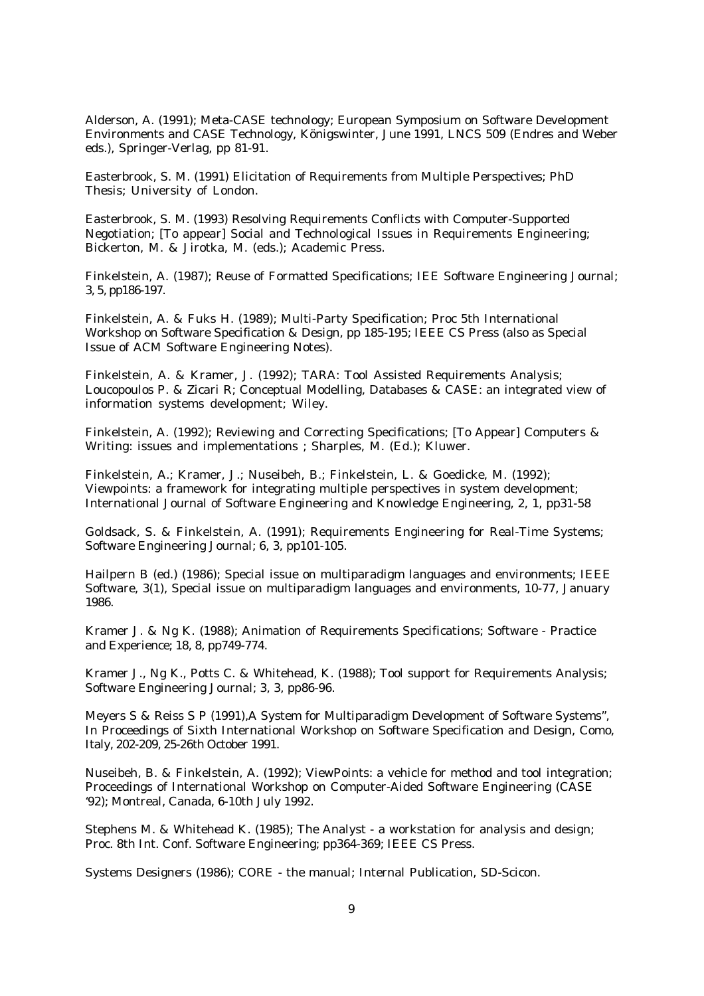Alderson, A. (1991); Meta-CASE technology; European Symposium on Software Development Environments and CASE Technology, Königswinter, June 1991, LNCS 509 (Endres and Weber eds.), Springer-Verlag, pp 81-91.

Easterbrook, S. M. (1991) Elicitation of Requirements from Multiple Perspectives; PhD Thesis; University of London.

Easterbrook, S. M. (1993) Resolving Requirements Conflicts with Computer-Supported Negotiation; [To appear] Social and Technological Issues in Requirements Engineering; Bickerton, M. & Jirotka, M. (eds.); Academic Press.

Finkelstein, A. (1987); Reuse of Formatted Specifications; IEE Software Engineering Journal; 3, 5, pp186-197.

Finkelstein, A. & Fuks H. (1989); Multi-Party Specification; Proc 5th International Workshop on Software Specification & Design, pp 185-195; IEEE CS Press (also as Special Issue of ACM Software Engineering Notes).

Finkelstein, A. & Kramer, J. (1992); TARA: Tool Assisted Requirements Analysis; Loucopoulos P. & Zicari R; Conceptual Modelling, Databases & CASE: an integrated view of information systems development; Wiley.

Finkelstein, A. (1992); Reviewing and Correcting Specifications; [To Appear] Computers & Writing: issues and implementations ; Sharples, M. (Ed.); Kluwer.

Finkelstein, A.; Kramer, J.; Nuseibeh, B.; Finkelstein, L. & Goedicke, M. (1992); Viewpoints: a framework for integrating multiple perspectives in system development; International Journal of Software Engineering and Knowledge Engineering, 2, 1, pp31-58

Goldsack, S. & Finkelstein, A. (1991); Requirements Engineering for Real-Time Systems; Software Engineering Journal; 6, 3, pp101-105.

Hailpern B (ed.) (1986); Special issue on multiparadigm languages and environments; IEEE Software, 3(1), Special issue on multiparadigm languages and environments, 10-77, January 1986.

Kramer J. & Ng K. (1988); Animation of Requirements Specifications; Software - Practice and Experience; 18, 8, pp749-774.

Kramer J., Ng K., Potts C. & Whitehead, K. (1988); Tool support for Requirements Analysis; Software Engineering Journal; 3, 3, pp86-96.

Meyers S & Reiss S P (1991),A System for Multiparadigm Development of Software Systems", In Proceedings of Sixth International Workshop on Software Specification and Design, Como, Italy, 202-209, 25-26th October 1991.

Nuseibeh, B. & Finkelstein, A. (1992); ViewPoints: a vehicle for method and tool integration; Proceedings of International Workshop on Computer-Aided Software Engineering (CASE '92); Montreal, Canada, 6-10th July 1992.

Stephens M. & Whitehead K. (1985); The Analyst - a workstation for analysis and design; Proc. 8th Int. Conf. Software Engineering; pp364-369; IEEE CS Press.

Systems Designers (1986); CORE - the manual; Internal Publication, SD-Scicon.